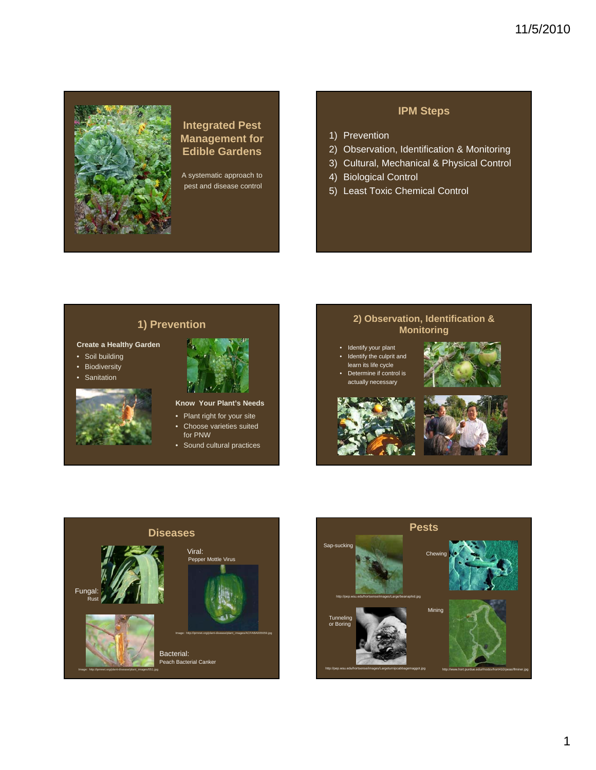# 11/5/2010



### **Integrated Pest Management for Edible Gardens**

A systematic approach to pest and disease control

#### **IPM Steps**

- 1) Prevention
- 2) Observation, Identification & Monitoring
- 3) Cultural, Mechanical & Physical Control
- 4) Biological Control
- 5) Least Toxic Chemical Control

## **1) Prevention**

#### **Create a Healthy Garden**

- Soil building
- Biodiversity
- **Sanitation**



**Know Your Plant's Needs**

- Plant right for your site • Choose varieties suited
- for PNW • Sound cultural practices

# **2) Observation, Identification & Monitoring**

- Identify your plant Identify the culprit and learn its life cycle
- Determine if control is actually necessary









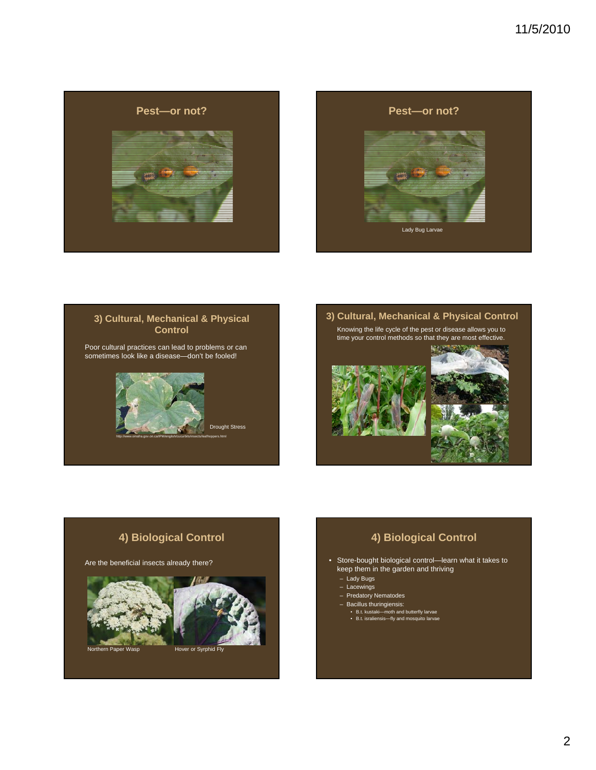







# **4) Biological Control**

Are the beneficial insects already there?



## **4) Biological Control**

- Store-bought biological control—learn what it takes to keep them in the garden and thriving
	- Lady Bugs
	- Lacewings
	- Predatory Nematodes
	- Bacillus thuringiensis:
	- B.t. kustaki—moth and butterfly larvae B.t. israliensis—fly and mosquito larvae